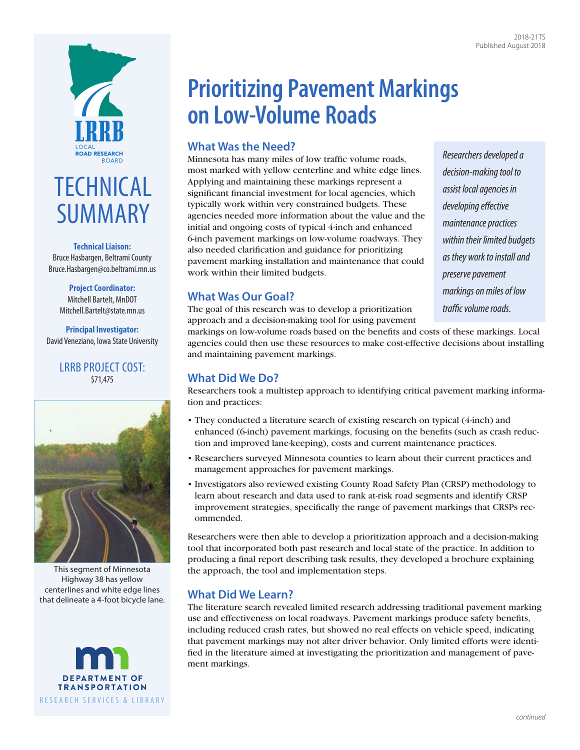



**Technical Liaison:** Bruce Hasbargen, Beltrami County [Bruce.Hasbargen@co.beltrami.mn.us](mailto:Bruce.Hasbargen@co.beltrami.mn.us)

#### **Project Coordinator:** Mitchell Bartelt, MnDOT [Mitchell.Bartelt@state.mn.us](mailto:Mitchell.Bartelt@state.mn.us)

**Principal Investigator:** David Veneziano, Iowa State University

### LRRB PROJECT COST: \$71,475



This segment of Minnesota Highway 38 has yellow centerlines and white edge lines that delineate a 4-foot bicycle lane.



# **Prioritizing Pavement Markings on Low-Volume Roads**

## **What Was the Need?**

Minnesota has many miles of low traffic volume roads, most marked with yellow centerline and white edge lines. Applying and maintaining these markings represent a significant financial investment for local agencies, which typically work within very constrained budgets. These agencies needed more information about the value and the initial and ongoing costs of typical 4-inch and enhanced 6-inch pavement markings on low-volume roadways. They also needed clarification and guidance for prioritizing pavement marking installation and maintenance that could work within their limited budgets.

## **What Was Our Goal?**

The goal of this research was to develop a prioritization approach and a decision-making tool for using pavement

markings on low-volume roads based on the benefits and costs of these markings. Local agencies could then use these resources to make cost-effective decisions about installing and maintaining pavement markings.

## **What Did We Do?**

Researchers took a multistep approach to identifying critical pavement marking information and practices:

- They conducted a literature search of existing research on typical (4-inch) and enhanced (6-inch) pavement markings, focusing on the benefits (such as crash reduction and improved lane-keeping), costs and current maintenance practices.
- Researchers surveyed Minnesota counties to learn about their current practices and management approaches for pavement markings.
- Investigators also reviewed existing County Road Safety Plan (CRSP) methodology to learn about research and data used to rank at-risk road segments and identify CRSP improvement strategies, specifically the range of pavement markings that CRSPs recommended.

Researchers were then able to develop a prioritization approach and a decision-making tool that incorporated both past research and local state of the practice. In addition to producing a final report describing task results, they developed a brochure explaining the approach, the tool and implementation steps.

## **What Did We Learn?**

The literature search revealed limited research addressing traditional pavement marking use and effectiveness on local roadways. Pavement markings produce safety benefits, including reduced crash rates, but showed no real effects on vehicle speed, indicating that pavement markings may not alter driver behavior. Only limited efforts were identified in the literature aimed at investigating the prioritization and management of pavement markings.

*Researchers developed a decision-making tool to assist local agencies in developing effective maintenance practices within their limited budgets as they work to install and preserve pavement markings on miles of low traffic volume roads.*